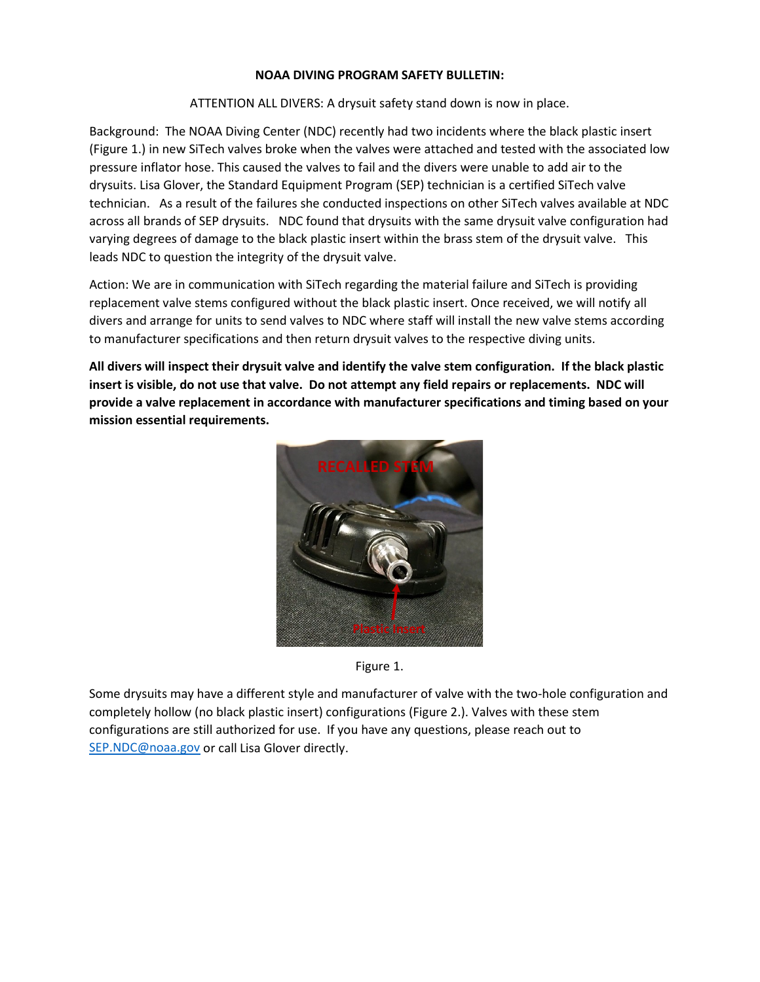## **NOAA DIVING PROGRAM SAFETY BULLETIN:**

ATTENTION ALL DIVERS: A drysuit safety stand down is now in place.

Background: The NOAA Diving Center (NDC) recently had two incidents where the black plastic insert (Figure 1.) in new SiTech valves broke when the valves were attached and tested with the associated low pressure inflator hose. This caused the valves to fail and the divers were unable to add air to the drysuits. Lisa Glover, the Standard Equipment Program (SEP) technician is a certified SiTech valve technician. As a result of the failures she conducted inspections on other SiTech valves available at NDC across all brands of SEP drysuits. NDC found that drysuits with the same drysuit valve configuration had varying degrees of damage to the black plastic insert within the brass stem of the drysuit valve. This leads NDC to question the integrity of the drysuit valve.

Action: We are in communication with SiTech regarding the material failure and SiTech is providing replacement valve stems configured without the black plastic insert. Once received, we will notify all divers and arrange for units to send valves to NDC where staff will install the new valve stems according to manufacturer specifications and then return drysuit valves to the respective diving units.

**All divers will inspect their drysuit valve and identify the valve stem configuration. If the black plastic insert is visible, do not use that valve. Do not attempt any field repairs or replacements. NDC will provide a valve replacement in accordance with manufacturer specifications and timing based on your mission essential requirements.** 



Figure 1.

Some drysuits may have a different style and manufacturer of valve with the two-hole configuration and completely hollow (no black plastic insert) configurations (Figure 2.). Valves with these stem configurations are still authorized for use. If you have any questions, please reach out to [SEP.NDC@noaa.gov](mailto:SEP.NDC@noaa.gov) or call Lisa Glover directly.